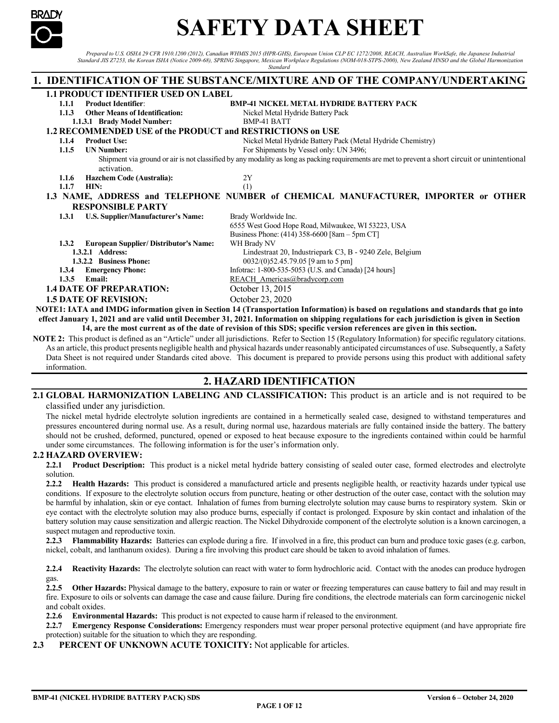

# **SAFETY DATA SHEET**

*Prepared to U.S. OSHA 29 CFR 1910.1200 (2012), Canadian WHMIS 2015 (HPR-GHS), European Union CLP EC 1272/2008, REACH, Australian WorkSafe, the Japanese Industrial Standard JIS Z7253, the Korean ISHA (Notice 2009-68), SPRING Singapore, Mexican Workplace Regulations (NOM-018-STPS-2000), New Zealand HNSO and the Global Harmonization Standard* 

**1. IDENTIFICATION OF THE SUBSTANCE/MIXTURE AND OF THE COMPANY/UNDERTAKING 1.1 PRODUCT IDENTIFIER USED ON LABEL 1.1.1 Product Identifier**: **BMP-41 NICKEL METAL HYDRIDE BATTERY PACK 1.1.3 Other Means of Identification:** Nickel Metal Hydride Battery Pack **1.1.3.1 Brady Model Number:** BMP-41 BATT **1.1.3.1 Brady Model Number: 1.2 RECOMMENDED USE of the PRODUCT and RESTRICTIONS on USE 1.1.4 Product Use:** Nickel Metal Hydride Battery Pack (Metal Hydride Chemistry)<br>**1.1.5 UN Number:** For Shipments by Vessel only: UN 3496: **1.1.5 1.1.5 1.1.5 1.1.5 1.1.5 1.1.5 1.1.5 1.1.5 1.1.5 1.1.5 1.1.5 1.1.5 1.1.5 1.1.5 1.1.5 1.1.5 1.1.5 1.1.5 1.1.5 1.1.5 1.1.5 1.1.5 1.1.5 1.1.5 1.1.5 1.1.5 1.1.5 1.1.5** Shipment via ground or air is not classified by any modality as long as packing requirements are met to prevent a short circuit or unintentional activation. **1.1.6 Hazchem Code (Australia):** 2Y<br> **1.1.7 HIN:** (1) **1.1.7 HIN:** (1) **1.3 NAME, ADDRESS and TELEPHONE NUMBER of CHEMICAL MANUFACTURER, IMPORTER or OTHER RESPONSIBLE PARTY 1.3.1 U.S. Supplier/Manufacturer's Name:** Brady Worldwide Inc. 6555 West Good Hope Road, Milwaukee, WI 53223, USA Business Phone: (414) 358-6600 [8am – 5pm CT] **1.3.2 European Supplier/ Distributor's Name:** WH Brady NV **1.3.2.1 Address:** Lindestraat 20, Industriepark C3, B - 9240 Zele, Belgium<br> **1.3.2.2 Business Phone:** 0032/(0)52.45.79.05 [9 am to 5 pm] **1.3.2.2 Business Phone:** 0032/(0)52.45.79.05 [9 am to 5 pm]<br>**1.3.4 Emergency Phone:** Infotrac: 1-800-535-5053 (U.S. and Canad **1.3.4 Emergency Phone:** Infotrac: 1-800-535-5053 (U.S. and Canada) [24 hours]<br>**1.3.5 Email:** REACH Americas @bradycorp.com **[REACH\\_Americas@bradycorp.com](mailto:REACH_Americas@bradycorp.com) 1.4 DATE OF PREPARATION:** October 13, 2015 **1.5 DATE OF REVISION:** October 23, 2020 **NOTE1: IATA and IMDG information given in Section 14 (Transportation Information) is based on regulations and standards that go into effect January 1, 2021 and are valid until December 31, 2021. Information on shipping regulations for each jurisdiction is given in Section 14, are the most current as of the date of revision of this SDS; specific version references are given in this section.** 

**NOTE 2:** This product is defined as an "Article" under all jurisdictions. Refer to Section 15 (Regulatory Information) for specific regulatory citations. As an article, this product presents negligible health and physical hazards under reasonably anticipated circumstances of use. Subsequently, a Safety Data Sheet is not required under Standards cited above. This document is prepared to provide persons using this product with additional safety information.

# **2. HAZARD IDENTIFICATION**

#### **2.1 GLOBAL HARMONIZATION LABELING AND CLASSIFICATION:** This product is an article and is not required to be classified under any jurisdiction.

The nickel metal hydride electrolyte solution ingredients are contained in a hermetically sealed case, designed to withstand temperatures and pressures encountered during normal use. As a result, during normal use, hazardous materials are fully contained inside the battery. The battery should not be crushed, deformed, punctured, opened or exposed to heat because exposure to the ingredients contained within could be harmful under some circumstances. The following information is for the user's information only.

## **2.2 HAZARD OVERVIEW:**

**2.2.1 Product Description:** This product is a nickel metal hydride battery consisting of sealed outer case, formed electrodes and electrolyte solution.

**2.2.2 Health Hazards:** This product is considered a manufactured article and presents negligible health, or reactivity hazards under typical use conditions. If exposure to the electrolyte solution occurs from puncture, heating or other destruction of the outer case, contact with the solution may be harmful by inhalation, skin or eye contact. Inhalation of fumes from burning electrolyte solution may cause burns to respiratory system. Skin or eye contact with the electrolyte solution may also produce burns, especially if contact is prolonged. Exposure by skin contact and inhalation of the battery solution may cause sensitization and allergic reaction. The Nickel Dihydroxide component of the electrolyte solution is a known carcinogen, a suspect mutagen and reproductive toxin.

**2.2.3 Flammability Hazards:** Batteries can explode during a fire. If involved in a fire, this product can burn and produce toxic gases (e.g. carbon, nickel, cobalt, and lanthanum oxides). During a fire involving this product care should be taken to avoid inhalation of fumes.

**2.2.4 Reactivity Hazards:** The electrolyte solution can react with water to form hydrochloric acid. Contact with the anodes can produce hydrogen gas.

**2.2.5 Other Hazards:** Physical damage to the battery, exposure to rain or water or freezing temperatures can cause battery to fail and may result in fire. Exposure to oils or solvents can damage the case and cause failure. During fire conditions, the electrode materials can form carcinogenic nickel and cobalt oxides.

**2.2.6 Environmental Hazards:** This product is not expected to cause harm if released to the environment.

**2.2.7 Emergency Response Considerations:** Emergency responders must wear proper personal protective equipment (and have appropriate fire protection) suitable for the situation to which they are responding.

2.3 PERCENT OF UNKNOWN ACUTE TOXICITY: Not applicable for articles.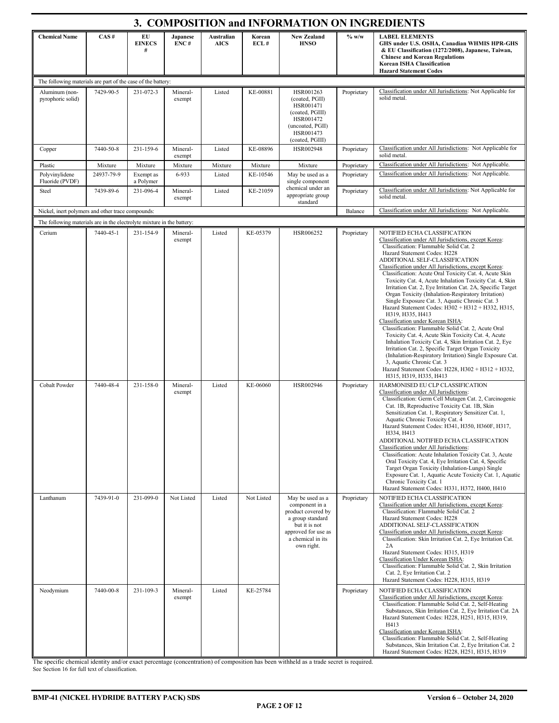| 3. COMPOSITION and INFORMATION ON INGREDIENTS                          |            |                          |                    |                           |                |                                                                                                                                                         |             |                                                                                                                                                                                                                                                                                                                                                                                                                                                                                                                                                                                                                                                                                                                                                                                                                                                                                                                                                                                                                                                                         |
|------------------------------------------------------------------------|------------|--------------------------|--------------------|---------------------------|----------------|---------------------------------------------------------------------------------------------------------------------------------------------------------|-------------|-------------------------------------------------------------------------------------------------------------------------------------------------------------------------------------------------------------------------------------------------------------------------------------------------------------------------------------------------------------------------------------------------------------------------------------------------------------------------------------------------------------------------------------------------------------------------------------------------------------------------------------------------------------------------------------------------------------------------------------------------------------------------------------------------------------------------------------------------------------------------------------------------------------------------------------------------------------------------------------------------------------------------------------------------------------------------|
| <b>Chemical Name</b>                                                   | CAS#       | EU<br><b>EINECS</b><br># | Japanese<br>ENC#   | Australian<br><b>AICS</b> | Korean<br>ECL# | <b>New Zealand</b><br><b>HNSO</b>                                                                                                                       | $%$ w/w     | <b>LABEL ELEMENTS</b><br>GHS under U.S. OSHA, Canadian WHMIS HPR-GHS<br>& EU Classification (1272/2008), Japanese, Taiwan,<br><b>Chinese and Korean Regulations</b><br><b>Korean ISHA Classification</b><br><b>Hazard Statement Codes</b>                                                                                                                                                                                                                                                                                                                                                                                                                                                                                                                                                                                                                                                                                                                                                                                                                               |
| The following materials are part of the case of the battery:           |            |                          |                    |                           |                |                                                                                                                                                         |             |                                                                                                                                                                                                                                                                                                                                                                                                                                                                                                                                                                                                                                                                                                                                                                                                                                                                                                                                                                                                                                                                         |
| Aluminum (non-<br>pyrophoric solid)                                    | 7429-90-5  | 231-072-3                | Mineral-<br>exempt | Listed                    | KE-00881       | HSR001263<br>(coated, PGII)<br>HSR001471<br>(coated, PGIII)<br>HSR001472<br>(uncoated, PGII)<br>HSR001473<br>(coated, PGIII)                            | Proprietary | Classification under All Jurisdictions: Not Applicable for<br>solid metal.                                                                                                                                                                                                                                                                                                                                                                                                                                                                                                                                                                                                                                                                                                                                                                                                                                                                                                                                                                                              |
| Copper                                                                 | 7440-50-8  | 231-159-6                | Mineral-<br>exempt | Listed                    | KE-08896       | HSR002948                                                                                                                                               | Proprietary | Classification under All Jurisdictions: Not Applicable for<br>solid metal.                                                                                                                                                                                                                                                                                                                                                                                                                                                                                                                                                                                                                                                                                                                                                                                                                                                                                                                                                                                              |
| Plastic                                                                | Mixture    | Mixture                  | Mixture            | Mixture                   | Mixture        | Mixture                                                                                                                                                 | Proprietary | Classification under All Jurisdictions: Not Applicable.                                                                                                                                                                                                                                                                                                                                                                                                                                                                                                                                                                                                                                                                                                                                                                                                                                                                                                                                                                                                                 |
| Polyvinylidene                                                         | 24937-79-9 | Exempt as                | 6-933              | Listed                    | KE-10546       | May be used as a                                                                                                                                        | Proprietary | Classification under All Jurisdictions: Not Applicable.                                                                                                                                                                                                                                                                                                                                                                                                                                                                                                                                                                                                                                                                                                                                                                                                                                                                                                                                                                                                                 |
| Fluoride (PVDF)<br>Steel                                               | 7439-89-6  | a Polymer<br>231-096-4   | Mineral-<br>exempt | Listed                    | KE-21059       | single component<br>chemical under an<br>appropriate group<br>standard                                                                                  | Proprietary | Classification under All Jurisdictions: Not Applicable for<br>solid metal.                                                                                                                                                                                                                                                                                                                                                                                                                                                                                                                                                                                                                                                                                                                                                                                                                                                                                                                                                                                              |
| Nickel, inert polymers and other trace compounds:                      |            |                          |                    |                           |                |                                                                                                                                                         | Balance     | Classification under All Jurisdictions: Not Applicable.                                                                                                                                                                                                                                                                                                                                                                                                                                                                                                                                                                                                                                                                                                                                                                                                                                                                                                                                                                                                                 |
| The following materials are in the electrolyte mixture in the battery: |            |                          |                    |                           |                |                                                                                                                                                         |             |                                                                                                                                                                                                                                                                                                                                                                                                                                                                                                                                                                                                                                                                                                                                                                                                                                                                                                                                                                                                                                                                         |
| Cerium                                                                 | 7440-45-1  | 231-154-9                | Mineral-<br>exempt | Listed                    | KE-05379       | HSR006252                                                                                                                                               | Proprietary | NOTIFIED ECHA CLASSIFICATION<br>Classification under All Jurisdictions, except Korea:<br>Classification: Flammable Solid Cat. 2<br>Hazard Statement Codes: H228<br>ADDITIONAL SELF-CLASSIFICATION<br>Classification under All Jurisdictions, except Korea:<br>Classification: Acute Oral Toxicity Cat. 4, Acute Skin<br>Toxicity Cat. 4, Acute Inhalation Toxicity Cat. 4, Skin<br>Irritation Cat. 2, Eye Irritation Cat. 2A, Specific Target<br>Organ Toxicity (Inhalation-Respiratory Irritation)<br>Single Exposure Cat. 3, Aquatic Chronic Cat. 3<br>Hazard Statement Codes: H302 + H312 + H332, H315,<br>H319, H335, H413<br>Classification under Korean ISHA:<br>Classification: Flammable Solid Cat. 2, Acute Oral<br>Toxicity Cat. 4, Acute Skin Toxicity Cat. 4, Acute<br>Inhalation Toxicity Cat. 4, Skin Irritation Cat. 2, Eye<br>Irritation Cat. 2, Specific Target Organ Toxicity<br>(Inhalation-Respiratory Irritation) Single Exposure Cat.<br>3, Aquatic Chronic Cat. 3<br>Hazard Statement Codes: H228, H302 + H312 + H332,<br>H315, H319, H335, H413 |
| Cobalt Powder                                                          | 7440-48-4  | 231-158-0                | Mineral-<br>exempt | Listed                    | KE-06060       | HSR002946                                                                                                                                               | Proprietary | HARMONISED EU CLP CLASSIFICATION<br>Classification under All Jurisdictions:<br>Classification: Germ Cell Mutagen Cat. 2, Carcinogenic<br>Cat. 1B, Reproductive Toxicity Cat. 1B, Skin<br>Sensitization Cat. 1, Respiratory Sensitizer Cat. 1,<br>Aquatic Chronic Toxicity Cat. 4<br>Hazard Statement Codes: H341, H350, H360F, H317,<br>H334, H413<br>ADDITIONAL NOTIFIED ECHA CLASSIFICATION<br>Classification under All Jurisdictions:<br>Classification: Acute Inhalation Toxicity Cat. 3, Acute<br>Oral Toxicity Cat. 4, Eye Irritation Cat. 4, Specific<br>Target Organ Toxicity (Inhalation-Lungs) Single<br>Exposure Cat. 1, Aquatic Acute Toxicity Cat. 1, Aquatic<br>Chronic Toxicity Cat. 1<br>Hazard Statement Codes: H331, H372, H400, H410                                                                                                                                                                                                                                                                                                                 |
| Lanthanum                                                              | 7439-91-0  | 231-099-0                | Not Listed         | Listed                    | Not Listed     | May be used as a<br>component in a<br>product covered by<br>a group standard<br>but it is not<br>approved for use as<br>a chemical in its<br>own right. | Proprietary | NOTIFIED ECHA CLASSIFICATION<br>Classification under All Jurisdictions, except Korea:<br>Classification: Flammable Solid Cat. 2<br>Hazard Statement Codes: H228<br>ADDITIONAL SELF-CLASSIFICATION<br>Classification under All Jurisdictions, except Korea:<br>Classification: Skin Irritation Cat. 2, Eye Irritation Cat.<br>2A<br>Hazard Statement Codes: H315, H319<br>Classification Under Korean ISHA:<br>Classification: Flammable Solid Cat. 2, Skin Irritation<br>Cat. 2, Eye Irritation Cat. 2<br>Hazard Statement Codes: H228, H315, H319                                                                                                                                                                                                                                                                                                                                                                                                                                                                                                                      |
| Neodymium                                                              | 7440-00-8  | 231-109-3                | Mineral-<br>exempt | Listed                    | KE-25784       |                                                                                                                                                         | Proprietary | NOTIFIED ECHA CLASSIFICATION<br>Classification under All Jurisdictions, except Korea:<br>Classification: Flammable Solid Cat. 2, Self-Heating<br>Substances, Skin Irritation Cat. 2, Eye Irritation Cat. 2A<br>Hazard Statement Codes: H228, H251, H315, H319,<br>H413<br>Classification under Korean ISHA:<br>Classification: Flammable Solid Cat. 2, Self-Heating<br>Substances, Skin Irritation Cat. 2, Eye Irritation Cat. 2<br>Hazard Statement Codes: H228, H251, H315, H319                                                                                                                                                                                                                                                                                                                                                                                                                                                                                                                                                                                      |

The specific chemical identity and/or exact percentage (concentration) of composition has been withheld as a trade secret is required. See Section 16 for full text of classification.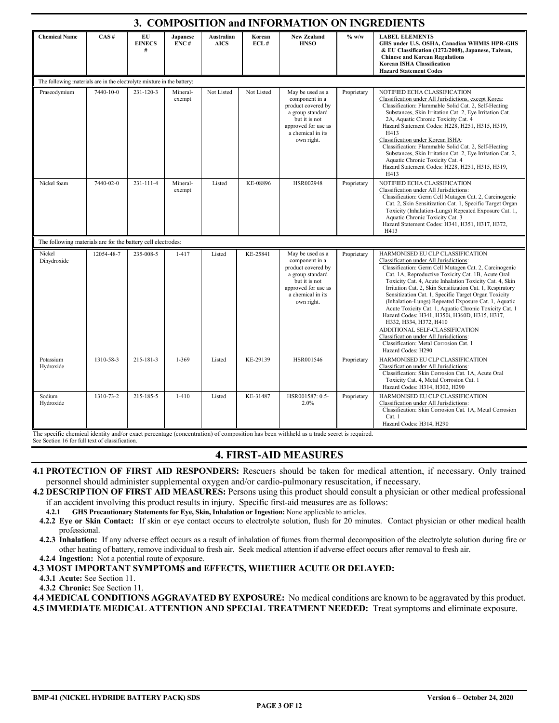| 3. COMPOSITION and INFORMATION ON INGREDIENTS                          |            |                          |                    |                           |                |                                                                                                                                                         |             |                                                                                                                                                                                                                                                                                                                                                                                                                                                                                                                                                                                                                                                                                                                       |  |
|------------------------------------------------------------------------|------------|--------------------------|--------------------|---------------------------|----------------|---------------------------------------------------------------------------------------------------------------------------------------------------------|-------------|-----------------------------------------------------------------------------------------------------------------------------------------------------------------------------------------------------------------------------------------------------------------------------------------------------------------------------------------------------------------------------------------------------------------------------------------------------------------------------------------------------------------------------------------------------------------------------------------------------------------------------------------------------------------------------------------------------------------------|--|
| <b>Chemical Name</b>                                                   | CAS#       | EU<br><b>EINECS</b><br># | Japanese<br>ENC#   | Australian<br><b>AICS</b> | Korean<br>ECL# | <b>New Zealand</b><br><b>HNSO</b>                                                                                                                       | % w/w       | <b>LABEL ELEMENTS</b><br>GHS under U.S. OSHA, Canadian WHMIS HPR-GHS<br>& EU Classification (1272/2008), Japanese, Taiwan,<br><b>Chinese and Korean Regulations</b><br>Korean ISHA Classification<br><b>Hazard Statement Codes</b>                                                                                                                                                                                                                                                                                                                                                                                                                                                                                    |  |
| The following materials are in the electrolyte mixture in the battery: |            |                          |                    |                           |                |                                                                                                                                                         |             |                                                                                                                                                                                                                                                                                                                                                                                                                                                                                                                                                                                                                                                                                                                       |  |
| Praseodymium                                                           | 7440-10-0  | 231-120-3                | Mineral-<br>exempt | Not Listed                | Not Listed     | May be used as a<br>component in a<br>product covered by<br>a group standard<br>but it is not<br>approved for use as<br>a chemical in its<br>own right. | Proprietary | NOTIFIED ECHA CLASSIFICATION<br>Classification under All Jurisdictions, except Korea:<br>Classification: Flammable Solid Cat. 2, Self-Heating<br>Substances, Skin Irritation Cat. 2, Eye Irritation Cat.<br>2A, Aquatic Chronic Toxicity Cat. 4<br>Hazard Statement Codes: H228, H251, H315, H319,<br>H413<br>Classification under Korean ISHA:<br>Classification: Flammable Solid Cat. 2, Self-Heating<br>Substances, Skin Irritation Cat. 2, Eye Irritation Cat. 2,<br>Aquatic Chronic Toxicity Cat. 4<br>Hazard Statement Codes: H228, H251, H315, H319,<br>H413                                                                                                                                                   |  |
| Nickel foam                                                            | 7440-02-0  | 231-111-4                | Mineral-<br>exempt | Listed                    | KE-08896       | HSR002948                                                                                                                                               | Proprietary | NOTIFIED ECHA CLASSIFICATION<br>Classification under All Jurisdictions:<br>Classification: Germ Cell Mutagen Cat. 2, Carcinogenic<br>Cat. 2, Skin Sensitization Cat. 1, Specific Target Organ<br>Toxicity (Inhalation-Lungs) Repeated Exposure Cat. 1,<br>Aquatic Chronic Toxicity Cat. 3<br>Hazard Statement Codes: H341, H351, H317, H372,<br>H413                                                                                                                                                                                                                                                                                                                                                                  |  |
| The following materials are for the battery cell electrodes:           |            |                          |                    |                           |                |                                                                                                                                                         |             |                                                                                                                                                                                                                                                                                                                                                                                                                                                                                                                                                                                                                                                                                                                       |  |
| Nickel<br>Dihydroxide                                                  | 12054-48-7 | 235-008-5                | $1 - 417$          | Listed                    | KE-25841       | May be used as a<br>component in a<br>product covered by<br>a group standard<br>but it is not<br>approved for use as<br>a chemical in its<br>own right. | Proprietary | HARMONISED EU CLP CLASSIFICATION<br>Classification under All Jurisdictions:<br>Classification: Germ Cell Mutagen Cat. 2, Carcinogenic<br>Cat. 1A, Reproductive Toxicity Cat. 1B, Acute Oral<br>Toxicity Cat. 4, Acute Inhalation Toxicity Cat. 4, Skin<br>Irritation Cat. 2, Skin Sensitization Cat. 1, Respiratory<br>Sensitization Cat. 1, Specific Target Organ Toxicity<br>(Inhalation-Lungs) Repeated Exposure Cat. 1, Aquatic<br>Acute Toxicity Cat. 1, Aquatic Chronic Toxicity Cat. 1<br>Hazard Codes: H341, H350i, H360D, H315, H317,<br>H332, H334, H372, H410<br>ADDITIONAL SELF-CLASSIFICATION<br>Classification under All Jurisdictions:<br>Classification: Metal Corrosion Cat. 1<br>Hazard Codes: H290 |  |
| Potassium<br>Hydroxide                                                 | 1310-58-3  | 215-181-3                | 1-369              | Listed                    | KE-29139       | HSR001546                                                                                                                                               | Proprietary | HARMONISED EU CLP CLASSIFICATION<br>Classification under All Jurisdictions:<br>Classification: Skin Corrosion Cat. 1A, Acute Oral<br>Toxicity Cat. 4, Metal Corrosion Cat. 1<br>Hazard Codes: H314, H302, H290                                                                                                                                                                                                                                                                                                                                                                                                                                                                                                        |  |
| Sodium<br>Hydroxide                                                    | 1310-73-2  | 215-185-5                | $1 - 410$          | Listed                    | KE-31487       | HSR001587: 0.5-<br>2.0%                                                                                                                                 | Proprietary | HARMONISED EU CLP CLASSIFICATION<br>Classification under All Jurisdictions:<br>Classification: Skin Corrosion Cat. 1A, Metal Corrosion<br>Cat. 1<br>Hazard Codes: H314, H290                                                                                                                                                                                                                                                                                                                                                                                                                                                                                                                                          |  |

The specific chemical identity and/or exact percentage (concentration) of composition has been withheld as a trade secret is required.

See Section 16 for full text of classification.

# **4. FIRST-AID MEASURES**

- **4.1 PROTECTION OF FIRST AID RESPONDERS:** Rescuers should be taken for medical attention, if necessary. Only trained personnel should administer supplemental oxygen and/or cardio-pulmonary resuscitation, if necessary.
- **4.2 DESCRIPTION OF FIRST AID MEASURES:** Persons using this product should consult a physician or other medical professional if an accident involving this product results in injury. Specific first-aid measures are as follows:
	- **4.2.1 GHS Precautionary Statements for Eye, Skin, Inhalation or Ingestion:** None applicable to articles.
	- **4.2.2 Eye or Skin Contact:** If skin or eye contact occurs to electrolyte solution, flush for 20 minutes. Contact physician or other medical health professional.
- **4.2.3 Inhalation:** If any adverse effect occurs as a result of inhalation of fumes from thermal decomposition of the electrolyte solution during fire or other heating of battery, remove individual to fresh air. Seek medical attention if adverse effect occurs after removal to fresh air. **4.2.4 Ingestion:** Not a potential route of exposure.

**4.3 MOST IMPORTANT SYMPTOMS and EFFECTS, WHETHER ACUTE OR DELAYED:**

**4.3.1 Acute:** See Section 11.

**4.3.2 Chronic:** See Section 11.

**4.4 MEDICAL CONDITIONS AGGRAVATED BY EXPOSURE:** No medical conditions are known to be aggravated by this product. **4.5 IMMEDIATE MEDICAL ATTENTION AND SPECIAL TREATMENT NEEDED:** Treat symptoms and eliminate exposure.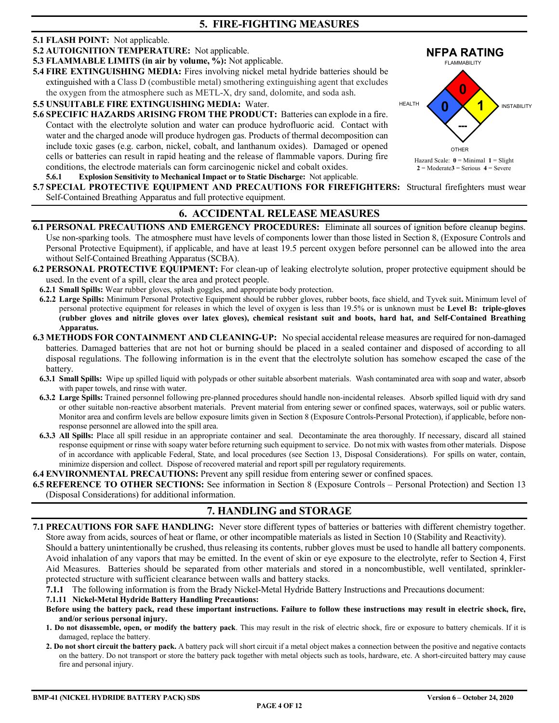#### **5.1 FLASH POINT:** Not applicable.

**5.2 AUTOIGNITION TEMPERATURE:** Not applicable.

**5.3 FLAMMABLE LIMITS (in air by volume, %):** Not applicable.

**5.4 FIRE EXTINGUISHING MEDIA:** Fires involving nickel metal hydride batteries should be extinguished with a Class D (combustible metal) smothering extinguishing agent that excludes the oxygen from the atmosphere such as METL-X, dry sand, dolomite, and soda ash.

**5.5 UNSUITABLE FIRE EXTINGUISHING MEDIA:** Water.

- **5.6 SPECIFIC HAZARDS ARISING FROM THE PRODUCT:** Batteries can explode in a fire. Contact with the electrolyte solution and water can produce hydrofluoric acid. Contact with water and the charged anode will produce hydrogen gas. Products of thermal decomposition can include toxic gases (e.g. carbon, nickel, cobalt, and lanthanum oxides). Damaged or opened cells or batteries can result in rapid heating and the release of flammable vapors. During fire conditions, the electrode materials can form carcinogenic nickel and cobalt oxides.
- **5.6.1 Explosion Sensitivity to Mechanical Impact or to Static Discharge:** Not applicable.



**2** = Moderate**3** = Serious **4** = Severe

**5.7 SPECIAL PROTECTIVE EQUIPMENT AND PRECAUTIONS FOR FIREFIGHTERS:** Structural firefighters must wear Self-Contained Breathing Apparatus and full protective equipment.

## **6. ACCIDENTAL RELEASE MEASURES**

- **6.1 PERSONAL PRECAUTIONS AND EMERGENCY PROCEDURES:** Eliminate all sources of ignition before cleanup begins. Use non-sparking tools. The atmosphere must have levels of components lower than those listed in Section 8, (Exposure Controls and Personal Protective Equipment), if applicable, and have at least 19.5 percent oxygen before personnel can be allowed into the area without Self-Contained Breathing Apparatus (SCBA).
- **6.2 PERSONAL PROTECTIVE EQUIPMENT:** For clean-up of leaking electrolyte solution, proper protective equipment should be used. In the event of a spill, clear the area and protect people.
	- **6.2.1 Small Spills:** Wear rubber gloves, splash goggles, and appropriate body protection.
	- **6.2.2 Large Spills:** Minimum Personal Protective Equipment should be rubber gloves, rubber boots, face shield, and Tyvek suit**.** Minimum level of personal protective equipment for releases in which the level of oxygen is less than 19.5% or is unknown must be **Level B: triple-gloves (rubber gloves and nitrile gloves over latex gloves), chemical resistant suit and boots, hard hat, and Self-Contained Breathing Apparatus.**
- **6.3 METHODS FOR CONTAINMENT AND CLEANING-UP:** No special accidental release measures are required for non-damaged batteries. Damaged batteries that are not hot or burning should be placed in a sealed container and disposed of according to all disposal regulations. The following information is in the event that the electrolyte solution has somehow escaped the case of the battery.
	- **6.3.1 Small Spills:** Wipe up spilled liquid with polypads or other suitable absorbent materials. Wash contaminated area with soap and water, absorb with paper towels, and rinse with water.
	- **6.3.2 Large Spills:** Trained personnel following pre-planned procedures should handle non-incidental releases. Absorb spilled liquid with dry sand or other suitable non-reactive absorbent materials. Prevent material from entering sewer or confined spaces, waterways, soil or public waters. Monitor area and confirm levels are bellow exposure limits given in Section 8 (Exposure Controls-Personal Protection), if applicable, before nonresponse personnel are allowed into the spill area.
	- **6.3.3 All Spills:** Place all spill residue in an appropriate container and seal. Decontaminate the area thoroughly. If necessary, discard all stained response equipment or rinse with soapy water before returning such equipment to service. Do not mix with wastes from other materials. Dispose of in accordance with applicable Federal, State, and local procedures (see Section 13, Disposal Considerations). For spills on water, contain, minimize dispersion and collect. Dispose of recovered material and report spill per regulatory requirements.

**6.4 ENVIRONMENTAL PRECAUTIONS:** Prevent any spill residue from entering sewer or confined spaces.

**6.5 REFERENCE TO OTHER SECTIONS:** See information in Section 8 (Exposure Controls – Personal Protection) and Section 13 (Disposal Considerations) for additional information.

# **7. HANDLING and STORAGE**

**7.1 PRECAUTIONS FOR SAFE HANDLING:** Never store different types of batteries or batteries with different chemistry together. Store away from acids, sources of heat or flame, or other incompatible materials as listed in Section 10 (Stability and Reactivity).

Should a battery unintentionally be crushed, thus releasing its contents, rubber gloves must be used to handle all battery components. Avoid inhalation of any vapors that may be emitted. In the event of skin or eye exposure to the electrolyte, refer to Section 4, First Aid Measures. Batteries should be separated from other materials and stored in a noncombustible, well ventilated, sprinklerprotected structure with sufficient clearance between walls and battery stacks.

**7.1.1** The following information is from the Brady Nickel-Metal Hydride Battery Instructions and Precautions document:

#### **7.1.11 Nickel-Metal Hydride Battery Handling Precautions:**

- **Before using the battery pack, read these important instructions. Failure to follow these instructions may result in electric shock, fire, and/or serious personal injury.**
- **1. Do not disassemble, open, or modify the battery pack**. This may result in the risk of electric shock, fire or exposure to battery chemicals. If it is damaged, replace the battery.
- **2. Do not short circuit the battery pack.** A battery pack will short circuit if a metal object makes a connection between the positive and negative contacts on the battery. Do not transport or store the battery pack together with metal objects such as tools, hardware, etc. A short-circuited battery may cause fire and personal injury.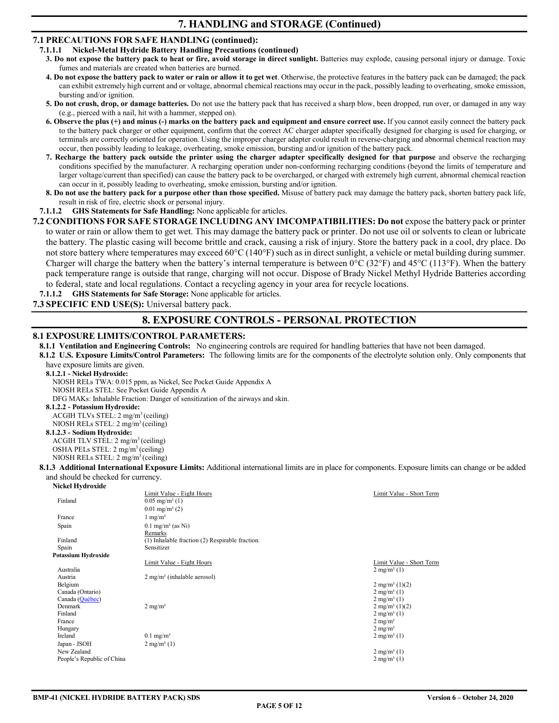## **7. HANDLING and STORAGE (Continued)**

## **7.1 PRECAUTIONS FOR SAFE HANDLING (continued):**

- **7.1.1.1 Nickel-Metal Hydride Battery Handling Precautions (continued)** 
	- 3. Do not expose the battery pack to heat or fire, avoid storage in direct sunlight. Batteries may explode, causing personal injury or damage. Toxic fumes and materials are created when batteries are burned.
	- **4. Do not expose the battery pack to water or rain or allow it to get wet**. Otherwise, the protective features in the battery pack can be damaged; the pack can exhibit extremely high current and or voltage, abnormal chemical reactions may occur in the pack, possibly leading to overheating, smoke emission, bursting and/or ignition.
	- **5. Do not crush, drop, or damage batteries.** Do not use the battery pack that has received a sharp blow, been dropped, run over, or damaged in any way (e.g., pierced with a nail, hit with a hammer, stepped on).
	- **6. Observe the plus (+) and minus (-) marks on the battery pack and equipment and ensure correct use.** If you cannot easily connect the battery pack to the battery pack charger or other equipment, confirm that the correct AC charger adapter specifically designed for charging is used for charging, or terminals are correctly oriented for operation. Using the improper charger adapter could result in reverse-charging and abnormal chemical reaction may occur, then possibly leading to leakage, overheating, smoke emission, bursting and/or ignition of the battery pack.
	- **7. Recharge the battery pack outside the printer using the charger adapter specifically designed for that purpose** and observe the recharging conditions specified by the manufacturer. A recharging operation under non-conforming recharging conditions (beyond the limits of temperature and larger voltage/current than specified) can cause the battery pack to be overcharged, or charged with extremely high current, abnormal chemical reaction can occur in it, possibly leading to overheating, smoke emission, bursting and/or ignition.
	- **8. Do not use the battery pack for a purpose other than those specified.** Misuse of battery pack may damage the battery pack, shorten battery pack life, result in risk of fire, electric shock or personal injury.

### **7.1.1.2 GHS Statements for Safe Handling:** None applicable for articles.

**7.2 CONDITIONS FOR SAFE STORAGE INCLUDING ANY IMCOMPATIBILITIES: Do not** expose the battery pack or printer to water or rain or allow them to get wet. This may damage the battery pack or printer. Do not use oil or solvents to clean or lubricate the battery. The plastic casing will become brittle and crack, causing a risk of injury. Store the battery pack in a cool, dry place. Do not store battery where temperatures may exceed 60°C (140°F) such as in direct sunlight, a vehicle or metal building during summer. Charger will charge the battery when the battery's internal temperature is between  $0^{\circ}C$  (32°F) and 45°C (113°F). When the battery pack temperature range is outside that range, charging will not occur. Dispose of Brady Nickel Methyl Hydride Batteries according to federal, state and local regulations. Contact a recycling agency in your area for recycle locations.

**7.1.1.2 GHS Statements for Safe Storage:** None applicable for articles.

## **7.3 SPECIFIC END USE(S):** Universal battery pack.

## **8. EXPOSURE CONTROLS - PERSONAL PROTECTION**

### **8.1 EXPOSURE LIMITS/CONTROL PARAMETERS:**

**8.1.1 Ventilation and Engineering Controls:** No engineering controls are required for handling batteries that have not been damaged.

**8.1.2 U.S. Exposure Limits/Control Parameters:** The following limits are for the components of the electrolyte solution only. Only components that have exposure limits are given.

#### **8.1.2.1 - Nickel Hydroxide:**

NIOSH RELs TWA: 0.015 ppm, as Nickel, See Pocket Guide Appendix A

NIOSH RELs STEL: See Pocket Guide Appendix A

DFG MAKs: Inhalable Fraction: Danger of sensitization of the airways and skin.

#### **8.1.2.2 - Potassium Hydroxide:**

ACGIH TLVs STEL: 2 mg/m3 (ceiling)

## NIOSH RELs STEL: 2 mg/m3 (ceiling)

**8.1.2.3 - Sodium Hydroxide:**  ACGIH TLV STEL: 2 mg/m<sup>3</sup> (ceiling)

OSHA PELs STEL: 2 mg/m<sup>3</sup> (ceiling)

#### NIOSH RELs STEL: 2 mg/m3 (ceiling)

**8.1.3 Additional International Exposure Limits:** Additional international limits are in place for components. Exposure limits can change or be added and should be checked for currency. **Nickel Hydroxide**

| inickei hivaroxiae         |                                                 |                           |
|----------------------------|-------------------------------------------------|---------------------------|
|                            | Limit Value - Eight Hours                       | Limit Value - Short Term  |
| Finland                    | $0.05$ mg/m <sup>3</sup> (1)                    |                           |
|                            | $0.01$ mg/m <sup>3</sup> (2)                    |                           |
| France                     | $1 \text{ mg/m}^3$                              |                           |
| Spain                      | $0.1$ mg/m <sup>3</sup> (as Ni)                 |                           |
|                            | Remarks                                         |                           |
| Finland                    | (1) Inhalable fraction (2) Respirable fraction. |                           |
| Spain                      | Sensitizer                                      |                           |
| Potassium Hvdroxide        |                                                 |                           |
|                            | Limit Value - Eight Hours                       | Limit Value - Short Term  |
| Australia                  |                                                 | $2 \text{ mg/m}^3$ (1)    |
| Austria                    | $2 \text{ mg/m}^3$ (inhalable aerosol)          |                           |
| Belgium                    |                                                 | $2 \text{ mg/m}^3$ (1)(2) |
| Canada (Ontario)           |                                                 | $2 \text{ mg/m}^3$ (1)    |
| Canada (Québec)            |                                                 | $2 \text{ mg/m}^3$ (1)    |
| Denmark                    | $2 \text{ mg/m}^3$                              | $2 \text{ mg/m}^3$ (1)(2) |
| Finland                    |                                                 | $2 \text{ mg/m}^3$ (1)    |
| France                     |                                                 | $2 \text{ mg/m}^3$        |
| Hungary                    |                                                 | $2 \text{ mg/m}^3$        |
| Ireland                    | $0.1$ mg/m <sup>3</sup>                         | $2 \text{ mg/m}^3$ (1)    |
| Japan - JSOH               | $2 \text{ mg/m}^3$ (1)                          |                           |
| New Zealand                |                                                 | $2 \text{ mg/m}^3$ (1)    |
| People's Republic of China |                                                 | $2 \text{ mg/m}^3$ (1)    |
|                            |                                                 |                           |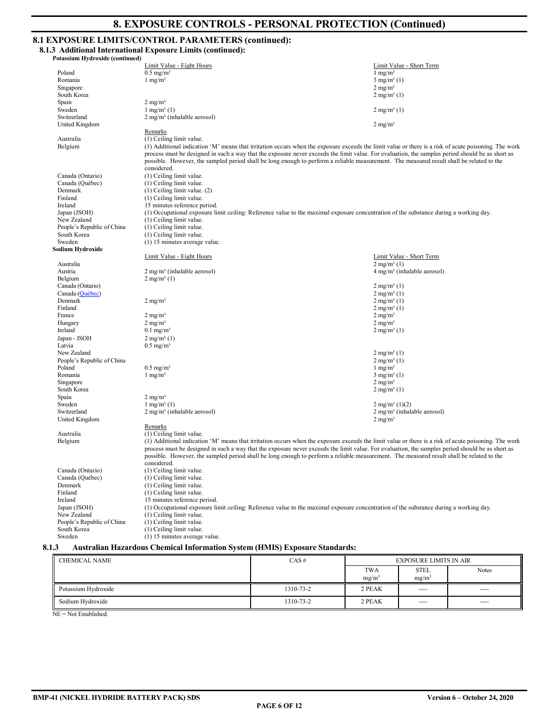# **8. EXPOSURE CONTROLS - PERSONAL PROTECTION (Continued)**

## **8.1 EXPOSURE LIMITS/CONTROL PARAMETERS (continued):**

**8.1.3 Additional International Exposure Limits (continued):** 

| <b>Potassium Hydroxide (continued)</b> |                                                                                                                                                                                                                                                                                               |                                                                        |  |  |  |  |  |
|----------------------------------------|-----------------------------------------------------------------------------------------------------------------------------------------------------------------------------------------------------------------------------------------------------------------------------------------------|------------------------------------------------------------------------|--|--|--|--|--|
|                                        | Limit Value - Eight Hours                                                                                                                                                                                                                                                                     | Limit Value - Short Term                                               |  |  |  |  |  |
| Poland                                 | $0.5$ mg/m <sup>3</sup>                                                                                                                                                                                                                                                                       | $1 \text{ mg/m}^3$                                                     |  |  |  |  |  |
| Romania                                | $1$ mg/m <sup>3</sup>                                                                                                                                                                                                                                                                         | $3$ mg/m <sup>3</sup> (1)                                              |  |  |  |  |  |
| Singapore                              |                                                                                                                                                                                                                                                                                               | $2$ mg/m <sup>3</sup>                                                  |  |  |  |  |  |
| South Korea                            |                                                                                                                                                                                                                                                                                               | $2$ mg/m <sup>3</sup> (1)                                              |  |  |  |  |  |
| Spain                                  | $2 \text{ mg/m}^3$                                                                                                                                                                                                                                                                            |                                                                        |  |  |  |  |  |
| Sweden                                 | $1 \text{ mg/m}^3$ (1)                                                                                                                                                                                                                                                                        | $2$ mg/m <sup>3</sup> (1)                                              |  |  |  |  |  |
| Switzerland                            | $2$ mg/m <sup>3</sup> (inhalable aerosol)                                                                                                                                                                                                                                                     |                                                                        |  |  |  |  |  |
| United Kingdom                         |                                                                                                                                                                                                                                                                                               | $2 \text{ mg/m}^3$                                                     |  |  |  |  |  |
|                                        | Remarks                                                                                                                                                                                                                                                                                       |                                                                        |  |  |  |  |  |
| Australia                              | (1) Ceiling limit value.                                                                                                                                                                                                                                                                      |                                                                        |  |  |  |  |  |
| Belgium                                | (1) Additional indication 'M' means that irritation occurs when the exposure exceeds the limit value or there is a risk of acute poisoning. The work                                                                                                                                          |                                                                        |  |  |  |  |  |
|                                        | process must be designed in such a way that the exposure never exceeds the limit value. For evaluation, the samples period should be as short as<br>possible. However, the sampled period shall be long enough to perform a reliable measurement. The measured result shall be related to the |                                                                        |  |  |  |  |  |
|                                        | considered.                                                                                                                                                                                                                                                                                   |                                                                        |  |  |  |  |  |
| Canada (Ontario)                       | (1) Ceiling limit value.                                                                                                                                                                                                                                                                      |                                                                        |  |  |  |  |  |
| Canada (Québec)                        | (1) Ceiling limit value.                                                                                                                                                                                                                                                                      |                                                                        |  |  |  |  |  |
| Denmark                                | $(1)$ Ceiling limit value. $(2)$                                                                                                                                                                                                                                                              |                                                                        |  |  |  |  |  |
| Finland                                | (1) Ceiling limit value.                                                                                                                                                                                                                                                                      |                                                                        |  |  |  |  |  |
| Ireland                                | 15 minutes reference period.                                                                                                                                                                                                                                                                  |                                                                        |  |  |  |  |  |
| Japan (JSOH)                           | (1) Occupational exposure limit ceiling: Reference value to the maximal exposure concentration of the substance during a working day.                                                                                                                                                         |                                                                        |  |  |  |  |  |
| New Zealand                            | (1) Ceiling limit value.                                                                                                                                                                                                                                                                      |                                                                        |  |  |  |  |  |
| People's Republic of China             | (1) Ceiling limit value.                                                                                                                                                                                                                                                                      |                                                                        |  |  |  |  |  |
| South Korea                            | (1) Ceiling limit value.                                                                                                                                                                                                                                                                      |                                                                        |  |  |  |  |  |
| Sweden                                 | $(1)$ 15 minutes average value.                                                                                                                                                                                                                                                               |                                                                        |  |  |  |  |  |
| Sodium Hydroxide                       |                                                                                                                                                                                                                                                                                               |                                                                        |  |  |  |  |  |
|                                        | Limit Value - Eight Hours                                                                                                                                                                                                                                                                     | Limit Value - Short Term                                               |  |  |  |  |  |
| Australia                              |                                                                                                                                                                                                                                                                                               | $2 \text{ mg/m}^3$ (1)                                                 |  |  |  |  |  |
| Austria                                | $2 \text{ mg/m}^3$ (inhalable aerosol)                                                                                                                                                                                                                                                        | $4 \text{ mg/m}^3$ (inhalable aerosol)                                 |  |  |  |  |  |
| Belgium                                | $2$ mg/m <sup>3</sup> (1)                                                                                                                                                                                                                                                                     |                                                                        |  |  |  |  |  |
| Canada (Ontario)                       |                                                                                                                                                                                                                                                                                               | $2 \text{ mg/m}^3$ (1)                                                 |  |  |  |  |  |
| Canada (Québec)                        |                                                                                                                                                                                                                                                                                               | $2$ mg/m <sup>3</sup> (1)                                              |  |  |  |  |  |
| Denmark                                | $2 \text{ mg/m}^3$                                                                                                                                                                                                                                                                            | $2 \text{ mg/m}^3$ (1)                                                 |  |  |  |  |  |
| Finland                                |                                                                                                                                                                                                                                                                                               | $2$ mg/m <sup>3</sup> (1)                                              |  |  |  |  |  |
| France                                 | $2 \text{ mg/m}^3$                                                                                                                                                                                                                                                                            | $2 \text{ mg/m}^3$                                                     |  |  |  |  |  |
| Hungary                                | $2 \text{ mg/m}^3$                                                                                                                                                                                                                                                                            | $2 \text{ mg/m}^3$                                                     |  |  |  |  |  |
| Ireland                                | $0.1$ mg/m <sup>3</sup>                                                                                                                                                                                                                                                                       | $2$ mg/m <sup>3</sup> (1)                                              |  |  |  |  |  |
| Japan - JSOH                           | $2$ mg/m <sup>3</sup> (1)                                                                                                                                                                                                                                                                     |                                                                        |  |  |  |  |  |
| Latvia                                 | $0.5 \text{ mg/m}^3$                                                                                                                                                                                                                                                                          |                                                                        |  |  |  |  |  |
| New Zealand                            |                                                                                                                                                                                                                                                                                               | $2 \text{ mg/m}^3$ (1)                                                 |  |  |  |  |  |
| People's Republic of China             |                                                                                                                                                                                                                                                                                               | $2 \text{ mg/m}^3$ (1)                                                 |  |  |  |  |  |
| Poland                                 | $0.5 \text{ mg/m}^3$                                                                                                                                                                                                                                                                          | $1 \text{ mg/m}^3$                                                     |  |  |  |  |  |
| Romania                                | $1$ mg/m <sup>3</sup>                                                                                                                                                                                                                                                                         | $3$ mg/m <sup>3</sup> (1)                                              |  |  |  |  |  |
| Singapore                              |                                                                                                                                                                                                                                                                                               | $2 \text{ mg/m}^3$                                                     |  |  |  |  |  |
| South Korea                            |                                                                                                                                                                                                                                                                                               | $2$ mg/m <sup>3</sup> (1)                                              |  |  |  |  |  |
| Spain<br>Sweden                        | $2 \text{ mg/m}^3$                                                                                                                                                                                                                                                                            |                                                                        |  |  |  |  |  |
| Switzerland                            | $1 \text{ mg/m}^3$ (1)<br>$2$ mg/m <sup>3</sup> (inhalable aerosol)                                                                                                                                                                                                                           | $2 \text{ mg/m}^3$ (1)(2)<br>$2$ mg/m <sup>3</sup> (inhalable aerosol) |  |  |  |  |  |
| United Kingdom                         |                                                                                                                                                                                                                                                                                               | $2 \text{ mg/m}^3$                                                     |  |  |  |  |  |
|                                        | Remarks                                                                                                                                                                                                                                                                                       |                                                                        |  |  |  |  |  |
| Australia                              | (1) Ceiling limit value.                                                                                                                                                                                                                                                                      |                                                                        |  |  |  |  |  |
| Belgium                                | (1) Additional indication 'M' means that irritation occurs when the exposure exceeds the limit value or there is a risk of acute poisoning. The work                                                                                                                                          |                                                                        |  |  |  |  |  |
|                                        | process must be designed in such a way that the exposure never exceeds the limit value. For evaluation, the samples period should be as short as                                                                                                                                              |                                                                        |  |  |  |  |  |
|                                        | possible. However, the sampled period shall be long enough to perform a reliable measurement. The measured result shall be related to the                                                                                                                                                     |                                                                        |  |  |  |  |  |
|                                        | considered.                                                                                                                                                                                                                                                                                   |                                                                        |  |  |  |  |  |
| Canada (Ontario)                       | (1) Ceiling limit value.                                                                                                                                                                                                                                                                      |                                                                        |  |  |  |  |  |
| Canada (Québec)                        | (1) Ceiling limit value.                                                                                                                                                                                                                                                                      |                                                                        |  |  |  |  |  |
| Denmark                                | (1) Ceiling limit value.                                                                                                                                                                                                                                                                      |                                                                        |  |  |  |  |  |
| Finland                                | (1) Ceiling limit value.                                                                                                                                                                                                                                                                      |                                                                        |  |  |  |  |  |
| Ireland                                | 15 minutes reference period.                                                                                                                                                                                                                                                                  |                                                                        |  |  |  |  |  |
| Japan (JSOH)                           | (1) Occupational exposure limit ceiling: Reference value to the maximal exposure concentration of the substance during a working day.                                                                                                                                                         |                                                                        |  |  |  |  |  |
| New Zealand                            | (1) Ceiling limit value.                                                                                                                                                                                                                                                                      |                                                                        |  |  |  |  |  |
| People's Republic of China             | (1) Ceiling limit value.                                                                                                                                                                                                                                                                      |                                                                        |  |  |  |  |  |
| South Korea                            | (1) Ceiling limit value.                                                                                                                                                                                                                                                                      |                                                                        |  |  |  |  |  |
| Sweden                                 | (1) 15 minutes average value.                                                                                                                                                                                                                                                                 |                                                                        |  |  |  |  |  |
| 8.1.3                                  | <b>Australian Hazardous Chemical Information System (HMIS) Exposure Standards:</b>                                                                                                                                                                                                            |                                                                        |  |  |  |  |  |
|                                        |                                                                                                                                                                                                                                                                                               |                                                                        |  |  |  |  |  |

| <b>CHEMICAL NAME</b> | CAS#      | <b>EXPOSURE LIMITS IN AIR</b>   |                                  |              |
|----------------------|-----------|---------------------------------|----------------------------------|--------------|
|                      |           | <b>TWA</b><br>mg/m <sup>3</sup> | <b>STEL</b><br>mg/m <sup>3</sup> | <b>Notes</b> |
| Potassium Hydroxide  | 1310-73-2 | 2 PEAK                          | $\cdots$                         | $\cdots$     |
| Sodium Hydroxide     | 1310-73-2 | 2 PEAK                          | $\cdots$                         | $\cdots$     |

NE = Not Established.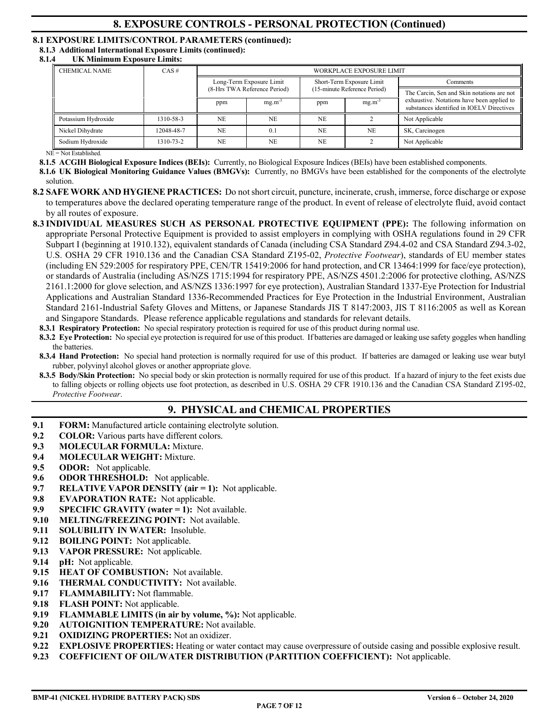## **8. EXPOSURE CONTROLS - PERSONAL PROTECTION (Continued)**

## **8.1 EXPOSURE LIMITS/CONTROL PARAMETERS (continued):**

**8.1.3 Additional International Exposure Limits (continued):** 

**8.1.4 UK Minimum Exposure Limits:**

| <b>CHEMICAL NAME</b> | CAS#       |                              |             | WORKPLACE EXPOSURE LIMIT     |             |                                                                                         |
|----------------------|------------|------------------------------|-------------|------------------------------|-------------|-----------------------------------------------------------------------------------------|
|                      |            | Long-Term Exposure Limit     |             | Short-Term Exposure Limit    |             | Comments                                                                                |
|                      |            | (8-Hrs TWA Reference Period) |             | (15-minute Reference Period) |             | The Carcin, Sen and Skin notations are not                                              |
|                      |            | ppm                          | $mg.m^{-3}$ | ppm                          | $mg.m^{-3}$ | exhaustive. Notations have been applied to<br>substances identified in IOELV Directives |
| Potassium Hydroxide  | 1310-58-3  | NE.                          | NF.         | NF.                          |             | Not Applicable                                                                          |
| Nickel Dihydrate     | 12048-48-7 | N <sub>E</sub>               | 0.1         | N <sub>E</sub>               | <b>NE</b>   | SK, Carcinogen                                                                          |
| Sodium Hydroxide     | 1310-73-2  | N <sub>E</sub>               | <b>NE</b>   | N <sub>E</sub>               |             | Not Applicable                                                                          |

NE = Not Established.

**8.1.5 ACGIH Biological Exposure Indices (BEIs):** Currently, no Biological Exposure Indices (BEIs) have been established components.

**8.1.6 UK Biological Monitoring Guidance Values (BMGVs):** Currently, no BMGVs have been established for the components of the electrolyte solution.

- **8.2 SAFE WORK AND HYGIENE PRACTICES:** Do not short circuit, puncture, incinerate, crush, immerse, force discharge or expose to temperatures above the declared operating temperature range of the product. In event of release of electrolyte fluid, avoid contact by all routes of exposure.
- **8.3 INDIVIDUAL MEASURES SUCH AS PERSONAL PROTECTIVE EQUIPMENT (PPE):** The following information on appropriate Personal Protective Equipment is provided to assist employers in complying with OSHA regulations found in 29 CFR Subpart I (beginning at 1910.132), equivalent standards of Canada (including CSA Standard Z94.4-02 and CSA Standard Z94.3-02, U.S. OSHA 29 CFR 1910.136 and the Canadian CSA Standard Z195-02, *Protective Footwear*), standards of EU member states (including EN 529:2005 for respiratory PPE, CEN/TR 15419:2006 for hand protection, and CR 13464:1999 for face/eye protection), or standards of Australia (including AS/NZS 1715:1994 for respiratory PPE, AS/NZS 4501.2:2006 for protective clothing, AS/NZS 2161.1:2000 for glove selection, and AS/NZS 1336:1997 for eye protection), Australian Standard 1337-Eye Protection for Industrial Applications and Australian Standard 1336-Recommended Practices for Eye Protection in the Industrial Environment, Australian Standard 2161-Industrial Safety Gloves and Mittens, or Japanese Standards JIS T 8147:2003, JIS T 8116:2005 as well as Korean and Singapore Standards. Please reference applicable regulations and standards for relevant details.
	- **8.3.1 Respiratory Protection:** No special respiratory protection is required for use of this product during normal use.
	- **8.3.2 Eye Protection:** No special eye protection is required for use of this product. If batteries are damaged or leaking use safety goggles when handling the batteries.
	- **8.3.4 Hand Protection:** No special hand protection is normally required for use of this product. If batteries are damaged or leaking use wear butyl rubber, polyvinyl alcohol gloves or another appropriate glove.
	- **8.3.5 Body/Skin Protection:** No special body or skin protection is normally required for use of this product. If a hazard of injury to the feet exists due to falling objects or rolling objects use foot protection, as described in U.S. OSHA 29 CFR 1910.136 and the Canadian CSA Standard Z195-02, *Protective Footwear*.

# **9. PHYSICAL and CHEMICAL PROPERTIES**

- **9.1 FORM:** Manufactured article containing electrolyte solution.
- **9.2 COLOR:** Various parts have different colors.
- **9.3 MOLECULAR FORMULA:** Mixture.
- **9.4 MOLECULAR WEIGHT:** Mixture.
- **9.5 ODOR:** Not applicable.
- **9.6 ODOR THRESHOLD:** Not applicable.
- **9.7 RELATIVE VAPOR DENSITY (air = 1):** Not applicable.
- **9.8 EVAPORATION RATE:** Not applicable.
- **9.9 SPECIFIC GRAVITY (water = 1):** Not available.
- **9.10 MELTING/FREEZING POINT:** Not available.
- **9.11 SOLUBILITY IN WATER:** Insoluble.
- **9.12 BOILING POINT:** Not applicable.
- **9.13 VAPOR PRESSURE:** Not applicable.
- **9.14 pH:** Not applicable.
- **9.15 HEAT OF COMBUSTION:** Not available.
- **9.16 THERMAL CONDUCTIVITY:** Not available.
- **9.17 FLAMMABILITY:** Not flammable.
- **9.18 FLASH POINT:** Not applicable.
- **9.19 FLAMMABLE LIMITS (in air by volume, %):** Not applicable.
- **9.20 AUTOIGNITION TEMPERATURE:** Not available.
- **9.21 OXIDIZING PROPERTIES:** Not an oxidizer.
- **9.22 EXPLOSIVE PROPERTIES:** Heating or water contact may cause overpressure of outside casing and possible explosive result.
- **9.23 COEFFICIENT OF OIL/WATER DISTRIBUTION (PARTITION COEFFICIENT):** Not applicable.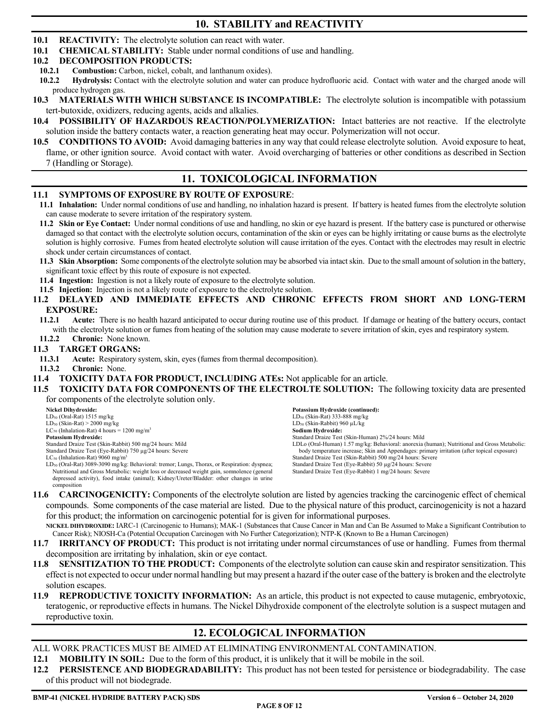# **10. STABILITY and REACTIVITY**

- **10.1 REACTIVITY:** The electrolyte solution can react with water.
- **10.1 CHEMICAL STABILITY:** Stable under normal conditions of use and handling.

## **10.2 DECOMPOSITION PRODUCTS:**

- **10.2.1 Combustion:** Carbon, nickel, cobalt, and lanthanum oxides).<br>**10.2.2 Hydrolysis:** Contact with the electrolyte solution and water c
- **10.2.2 Hydrolysis:** Contact with the electrolyte solution and water can produce hydrofluoric acid. Contact with water and the charged anode will produce hydrogen gas.
- **10.3 MATERIALS WITH WHICH SUBSTANCE IS INCOMPATIBLE:** The electrolyte solution is incompatible with potassium tert-butoxide, oxidizers, reducing agents, acids and alkalies.
- **10.4 POSSIBILITY OF HAZARDOUS REACTION/POLYMERIZATION:** Intact batteries are not reactive. If the electrolyte solution inside the battery contacts water, a reaction generating heat may occur. Polymerization will not occur.
- **10.5 CONDITIONS TO AVOID:** Avoid damaging batteries in any way that could release electrolyte solution. Avoid exposure to heat, flame, or other ignition source. Avoid contact with water. Avoid overcharging of batteries or other conditions as described in Section 7 (Handling or Storage).

## **11. TOXICOLOGICAL INFORMATION**

## **11.1 SYMPTOMS OF EXPOSURE BY ROUTE OF EXPOSURE**:

- **11.1 Inhalation:** Under normal conditions of use and handling, no inhalation hazard is present. If battery is heated fumes from the electrolyte solution can cause moderate to severe irritation of the respiratory system.
- **11.2 Skin or Eye Contact:** Under normal conditions of use and handling, no skin or eye hazard is present. If the battery case is punctured or otherwise damaged so that contact with the electrolyte solution occurs, contamination of the skin or eyes can be highly irritating or cause burns as the electrolyte solution is highly corrosive. Fumes from heated electrolyte solution will cause irritation of the eyes. Contact with the electrodes may result in electric shock under certain circumstances of contact.
- **11.3 Skin Absorption:** Some components of the electrolyte solution may be absorbed via intact skin. Due to the small amount of solution in the battery, significant toxic effect by this route of exposure is not expected.
- **11.4 Ingestion:** Ingestion is not a likely route of exposure to the electrolyte solution.
- **11.5 Injection:** Injection is not a likely route of exposure to the electrolyte solution.
- **11.2 DELAYED AND IMMEDIATE EFFECTS AND CHRONIC EFFECTS FROM SHORT AND LONG-TERM EXPOSURE:**
- **11.2.1 Acute:** There is no health hazard anticipated to occur during routine use of this product. If damage or heating of the battery occurs, contact with the electrolyte solution or fumes from heating of the solution may cause moderate to severe irritation of skin, eyes and respiratory system.
- **11.2.2 Chronic:** None known.

## **11.3 TARGET ORGANS:**

- **11.3.1 Acute:** Respiratory system, skin, eyes (fumes from thermal decomposition).
- **11.3.2 Chronic:** None.
- **11.4 TOXICITY DATA FOR PRODUCT, INCLUDING ATEs:** Not applicable for an article.

#### **11.5 TOXICITY DATA FOR COMPONENTS OF THE ELECTROLTE SOLUTION:** The following toxicity data are presented for components of the electrolyte solution only.

| Nickel Dihydroxide:                                                                                      | <b>Potassium Hydroxide (continued):</b>                                                      |
|----------------------------------------------------------------------------------------------------------|----------------------------------------------------------------------------------------------|
| $LD_{50}$ (Oral-Rat) 1515 mg/kg                                                                          | $LD_{50}$ (Skin-Rat) 333-888 mg/kg                                                           |
| $LD_{50}$ (Skin-Rat) > 2000 mg/kg                                                                        | $LD_{50}$ (Skin-Rabbit) 960 µL/kg                                                            |
| $LC_{50}$ (Inhalation-Rat) 4 hours = 1200 mg/m <sup>3</sup>                                              | Sodium Hydroxide:                                                                            |
| Potassium Hvdroxide:                                                                                     | Standard Draize Test (Skin-Human) 2%/24 hours: Mild                                          |
| Standard Draize Test (Skin-Rabbit) 500 mg/24 hours: Mild                                                 | LDLo (Oral-Human) 1.57 mg/kg: Behavioral: anorexia (human); Nutritional and Gross Metabolic: |
| Standard Draize Test (Eye-Rabbit) 750 µg/24 hours: Severe                                                | body temperature increase; Skin and Appendages: primary irritation (after topical exposure)  |
| $LC_{50}$ (Inhalation-Rat) 9060 mg/m <sup>3</sup>                                                        | Standard Draize Test (Skin-Rabbit) 500 mg/24 hours: Severe                                   |
| LD <sub>50</sub> (Oral-Rat) 3089-3090 mg/kg: Behavioral: tremor; Lungs, Thorax, or Respiration: dyspnea; | Standard Draize Test (Eye-Rabbit) 50 µg/24 hours: Severe                                     |
| Nutritional and Gross Metabolic: weight loss or decreased weight gain, somnolence (general               | Standard Draize Test (Eye-Rabbit) 1 mg/24 hours: Severe                                      |
| depressed activity), food intake (animal); Kidney/Ureter/Bladder: other changes in urine                 |                                                                                              |
| composition                                                                                              |                                                                                              |

**11.6 CARCINOGENICITY:** Components of the electrolyte solution are listed by agencies tracking the carcinogenic effect of chemical compounds. Some components of the case material are listed. Due to the physical nature of this product, carcinogenicity is not a hazard for this product; the information on carcinogenic potential for is given for informational purposes.

**NICKEL DIHYDROXIDE:** IARC-1 (Carcinogenic to Humans); MAK-1 (Substances that Cause Cancer in Man and Can Be Assumed to Make a Significant Contribution to Cancer Risk); NIOSH-Ca (Potential Occupation Carcinogen with No Further Categorization); NTP-K (Known to Be a Human Carcinogen)

- **11.7 IRRITANCY OF PRODUCT:** This product is not irritating under normal circumstances of use or handling. Fumes from thermal decomposition are irritating by inhalation, skin or eye contact.
- **11.8 SENSITIZATION TO THE PRODUCT:** Components of the electrolyte solution can cause skin and respirator sensitization. This effect is not expected to occur under normal handling but may present a hazard if the outer case of the battery is broken and the electrolyte solution escapes.
- **11.9 REPRODUCTIVE TOXICITY INFORMATION:** As an article, this product is not expected to cause mutagenic, embryotoxic, teratogenic, or reproductive effects in humans. The Nickel Dihydroxide component of the electrolyte solution is a suspect mutagen and reproductive toxin.

# **12. ECOLOGICAL INFORMATION**

- ALL WORK PRACTICES MUST BE AIMED AT ELIMINATING ENVIRONMENTAL CONTAMINATION.
- **12.1 MOBILITY IN SOIL:** Due to the form of this product, it is unlikely that it will be mobile in the soil.
- **12.2 PERSISTENCE AND BIODEGRADABILITY:** This product has not been tested for persistence or biodegradability. The case of this product will not biodegrade.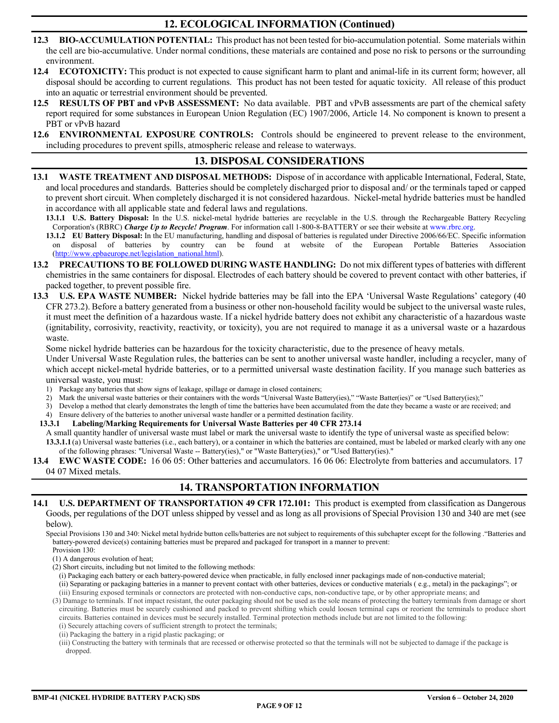# **12. ECOLOGICAL INFORMATION (Continued)**

- **12.3 BIO-ACCUMULATION POTENTIAL:** This product has not been tested for bio-accumulation potential. Some materials within the cell are bio-accumulative. Under normal conditions, these materials are contained and pose no risk to persons or the surrounding environment.
- **12.4 ECOTOXICITY:** This product is not expected to cause significant harm to plant and animal-life in its current form; however, all disposal should be according to current regulations. This product has not been tested for aquatic toxicity. All release of this product into an aquatic or terrestrial environment should be prevented.
- **12.5 RESULTS OF PBT and vPvB ASSESSMENT:** No data available. PBT and vPvB assessments are part of the chemical safety report required for some substances in European Union Regulation (EC) 1907/2006, Article 14. No component is known to present a PBT or vPvB hazard
- **12.6 ENVIRONMENTAL EXPOSURE CONTROLS:** Controls should be engineered to prevent release to the environment, including procedures to prevent spills, atmospheric release and release to waterways.

# **13. DISPOSAL CONSIDERATIONS**

**13.1 WASTE TREATMENT AND DISPOSAL METHODS:** Dispose of in accordance with applicable International, Federal, State, and local procedures and standards. Batteries should be completely discharged prior to disposal and/ or the terminals taped or capped to prevent short circuit. When completely discharged it is not considered hazardous. Nickel-metal hydride batteries must be handled in accordance with all applicable state and federal laws and regulations.

**13.1.1 U.S. Battery Disposal:** In the U.S. nickel-metal hydride batteries are recyclable in the U.S. through the Rechargeable Battery Recycling Corporation's (RBRC) *Charge Up to Recycle! Program*. For information call 1-800-8-BATTERY or see their website at www.rbrc.org.

**13.1.2 EU Battery Disposal:** In the EU manufacturing, handling and disposal of batteries is regulated under Directive 2006/66/EC. Specific information disposal of batteries by country can be found at website of the European Portable Batteries Association [\(http://www.epbaeurope.net/legislation\\_national.html\)](http://www.epbaeurope.net/legislation_national.html).

- **13.2 PRECAUTIONS TO BE FOLLOWED DURING WASTE HANDLING:** Do not mix different types of batteries with different chemistries in the same containers for disposal. Electrodes of each battery should be covered to prevent contact with other batteries, if packed together, to prevent possible fire.
- **13.3 U.S. EPA WASTE NUMBER:** Nickel hydride batteries may be fall into the EPA 'Universal Waste Regulations' category (40 CFR 273.2). Before a battery generated from a business or other non-household facility would be subject to the universal waste rules, it must meet the definition of a hazardous waste. If a nickel hydride battery does not exhibit any characteristic of a hazardous waste (ignitability, corrosivity, reactivity, reactivity, or toxicity), you are not required to manage it as a universal waste or a hazardous waste.

Some nickel hydride batteries can be hazardous for the toxicity characteristic, due to the presence of heavy metals.

Under Universal Waste Regulation rules, the batteries can be sent to another universal waste handler, including a recycler, many of which accept nickel-metal hydride batteries, or to a permitted universal waste destination facility. If you manage such batteries as universal waste, you must:

- 1) Package any batteries that show signs of leakage, spillage or damage in closed containers;
- 2) Mark the universal waste batteries or their containers with the words "Universal Waste Battery(ies)," "Waste Batter(ies)" or "Used Battery(ies);"
- 3) Develop a method that clearly demonstrates the length of time the batteries have been accumulated from the date they became a waste or are received; and
- 4) Ensure delivery of the batteries to another universal waste handler or a permitted destination facility.

**13.3.1 Labeling/Marking Requirements for Universal Waste Batteries per 40 CFR 273.14**

- A small quantity handler of universal waste must label or mark the universal waste to identify the type of universal waste as specified below: **13.3.1.1** (a) Universal waste batteries (i.e., each battery), or a container in which the batteries are contained, must be labeled or marked clearly with any one of the following phrases: "Universal Waste -- Battery(ies)," or "Waste Battery(ies)," or "Used Battery(ies)."
- **13.4 EWC WASTE CODE:** 16 06 05: Other batteries and accumulators. 16 06 06: Electrolyte from batteries and accumulators. 17 04 07 Mixed metals.

## **14. TRANSPORTATION INFORMATION**

**14.1 U.S. DEPARTMENT OF TRANSPORTATION 49 CFR 172.101:** This product is exempted from classification as Dangerous Goods, per regulations of the DOT unless shipped by vessel and as long as all provisions of Special Provision 130 and 340 are met (see below).

Special Provisions 130 and 340: Nickel metal hydride button cells/batteries are not subject to requirements of this subchapter except for the following ."Batteries and battery-powered device(s) containing batteries must be prepared and packaged for transport in a manner to prevent: Provision 130:

- (1) A dangerous evolution of heat;
- (2) Short circuits, including but not limited to the following methods:

(i) Packaging each battery or each battery-powered device when practicable, in fully enclosed inner packagings made of non-conductive material; (ii) Separating or packaging batteries in a manner to prevent contact with other batteries, devices or conductive materials ( e.g., metal) in the packagings"; or

(iii) Ensuring exposed terminals or connectors are protected with non-conductive caps, non-conductive tape, or by other appropriate means; and (3) Damage to terminals. If not impact resistant, the outer packaging should not be used as the sole means of protecting the battery terminals from damage or short circuiting. Batteries must be securely cushioned and packed to prevent shifting which could loosen terminal caps or reorient the terminals to produce short

circuits. Batteries contained in devices must be securely installed. Terminal protection methods include but are not limited to the following:

(i) Securely attaching covers of sufficient strength to protect the terminals;

(ii) Packaging the battery in a rigid plastic packaging; or

(iii) Constructing the battery with terminals that are recessed or otherwise protected so that the terminals will not be subjected to damage if the package is dropped.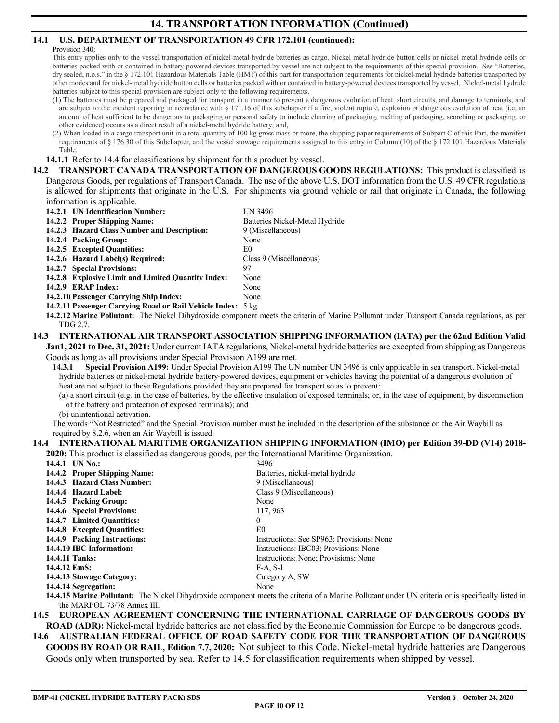## **14.1 U.S. DEPARTMENT OF TRANSPORTATION 49 CFR 172.101 (continued):**

#### Provision 340:

This entry applies only to the vessel transportation of nickel-metal hydride batteries as cargo. Nickel-metal hydride button cells or nickel-metal hydride cells or batteries packed with or contained in battery-powered devices transported by vessel are not subject to the requirements of this special provision. See "Batteries, dry sealed, n.o.s." in the § 172.101 Hazardous Materials Table (HMT) of this part for transportation requirements for nickel-metal hydride batteries transported by other modes and for nickel-metal hydride button cells or batteries packed with or contained in battery-powered devices transported by vessel. Nickel-metal hydride batteries subject to this special provision are subject only to the following requirements.

(1) The batteries must be prepared and packaged for transport in a manner to prevent a dangerous evolution of heat, short circuits, and damage to terminals, and are subject to the incident reporting in accordance with § 171.16 of this subchapter if a fire, violent rupture, explosion or dangerous evolution of heat (i.e. an amount of heat sufficient to be dangerous to packaging or personal safety to include charring of packaging, melting of packaging, scorching or packaging, or other evidence) occurs as a direct result of a nickel-metal hydride battery; and,

(2) When loaded in a cargo transport unit in a total quantity of 100 kg gross mass or more, the shipping paper requirements of Subpart C of this Part, the manifest requirements of § 176.30 of this Subchapter, and the vessel stowage requirements assigned to this entry in Column (10) of the § 172.101 Hazardous Materials Table.

**14.1.1** Refer to 14.4 for classifications by shipment for this product by vessel.

**14.2 TRANSPORT CANADA TRANSPORTATION OF DANGEROUS GOODS REGULATIONS:** This product is classified as Dangerous Goods, per regulations of Transport Canada. The use of the above U.S. DOT information from the U.S. 49 CFR regulations is allowed for shipments that originate in the U.S. For shipments via ground vehicle or rail that originate in Canada, the following information is applicable.

| 14.2.1 UN Identification Number:                                     | UN 3496                        |
|----------------------------------------------------------------------|--------------------------------|
| 14.2.2 Proper Shipping Name:                                         | Batteries Nickel-Metal Hydride |
| 14.2.3 Hazard Class Number and Description:                          | 9 (Miscellaneous)              |
| 14.2.4 Packing Group:                                                | None                           |
| 14.2.5 Excepted Quantities:                                          | E0                             |
| 14.2.6 Hazard Label(s) Required:                                     | Class 9 (Miscellaneous)        |
| 14.2.7 Special Provisions:                                           | 97                             |
| 14.2.8 Explosive Limit and Limited Quantity Index:                   | None                           |
| 14.2.9 ERAP Index:                                                   | None                           |
| 14.2.10 Passenger Carrying Ship Index:                               | None                           |
| $14.2.11$ December $C$ condition Dead an Dell Valdale Laden - C line |                                |

**14.2.11 Passenger Carrying Road or Rail Vehicle Index:** 5 kg

**14.2.12 Marine Pollutant:** The Nickel Dihydroxide component meets the criteria of Marine Pollutant under Transport Canada regulations, as per TDG 2.7.

## **14.3 INTERNATIONAL AIR TRANSPORT ASSOCIATION SHIPPING INFORMATION (IATA) per the 62nd Edition Valid**

**Jan1, 2021 to Dec. 31, 2021:** Under current IATA regulations, Nickel-metal hydride batteries are excepted from shipping as Dangerous Goods as long as all provisions under Special Provision A199 are met.

**14.3.1 Special Provision A199:** Under Special Provision A199 The UN number UN 3496 is only applicable in sea transport. Nickel-metal hydride batteries or nickel-metal hydride battery-powered devices, equipment or vehicles having the potential of a dangerous evolution of heat are not subject to these Regulations provided they are prepared for transport so as to prevent:

(a) a short circuit (e.g. in the case of batteries, by the effective insulation of exposed terminals; or, in the case of equipment, by disconnection of the battery and protection of exposed terminals); and

(b) unintentional activation.

The words "Not Restricted" and the Special Provision number must be included in the description of the substance on the Air Waybill as required by 8.2.6, when an Air Waybill is issued.

#### **14.4 INTERNATIONAL MARITIME ORGANIZATION SHIPPING INFORMATION (IMO) per Edition 39-DD (V14) 2018- 2020:** This product is classified as dangerous goods, per the International Maritime Organization.

| $\blacksquare$ and $\blacksquare$ and $\blacksquare$ and $\blacksquare$ and $\blacksquare$ and $\blacksquare$ and $\blacksquare$ and $\blacksquare$ and $\blacksquare$ and $\blacksquare$ and $\blacksquare$ |                                              |
|--------------------------------------------------------------------------------------------------------------------------------------------------------------------------------------------------------------|----------------------------------------------|
| 14.4.1 UN No.:                                                                                                                                                                                               | 3496                                         |
| 14.4.2 Proper Shipping Name:                                                                                                                                                                                 | Batteries, nickel-metal hydride              |
| 14.4.3 Hazard Class Number:                                                                                                                                                                                  | 9 (Miscellaneous)                            |
| 14.4.4 Hazard Label:                                                                                                                                                                                         | Class 9 (Miscellaneous)                      |
| 14.4.5 Packing Group:                                                                                                                                                                                        | None                                         |
| 14.4.6 Special Provisions:                                                                                                                                                                                   | 117, 963                                     |
| 14.4.7 Limited Ouantities:                                                                                                                                                                                   | $\mathbf{0}$                                 |
| 14.4.8 Excepted Quantities:                                                                                                                                                                                  | E0                                           |
| 14.4.9 Packing Instructions:                                                                                                                                                                                 | Instructions: See SP963; Provisions: None    |
| 14.4.10 IBC Information:                                                                                                                                                                                     | Instructions: IBC03; Provisions: None        |
| 14.4.11 Tanks:                                                                                                                                                                                               | Instructions: None; Provisions: None         |
| 14.4.12 EmS:                                                                                                                                                                                                 | $F-A, S-I$                                   |
| 14.4.13 Stowage Category:                                                                                                                                                                                    | Category A, SW                               |
| 14.4.14 Segregation:                                                                                                                                                                                         | None                                         |
|                                                                                                                                                                                                              | $\cdots$ $\alpha$ $\cdots$ $\cdots$ $\cdots$ |

**14.4.15 Marine Pollutant:** The Nickel Dihydroxide component meets the criteria of a Marine Pollutant under UN criteria or is specifically listed in the MARPOL 73/78 Annex III.

#### **14.5 EUROPEAN AGREEMENT CONCERNING THE INTERNATIONAL CARRIAGE OF DANGEROUS GOODS BY ROAD (ADR):** Nickel-metal hydride batteries are not classified by the Economic Commission for Europe to be dangerous goods.

**14.6 AUSTRALIAN FEDERAL OFFICE OF ROAD SAFETY CODE FOR THE TRANSPORTATION OF DANGEROUS GOODS BY ROAD OR RAIL, Edition 7.7, 2020:** Not subject to this Code. Nickel-metal hydride batteries are Dangerous Goods only when transported by sea. Refer to 14.5 for classification requirements when shipped by vessel.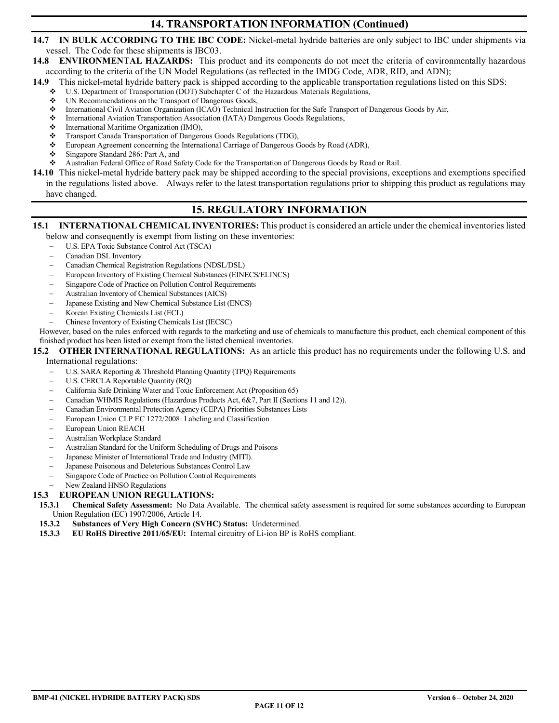## **14. TRANSPORTATION INFORMATION (Continued)**

## **14.7 IN BULK ACCORDING TO THE IBC CODE:** Nickel-metal hydride batteries are only subject to IBC under shipments via vessel. The Code for these shipments is IBC03.

## **14.8 ENVIRONMENTAL HAZARDS:** This product and its components do not meet the criteria of environmentally hazardous according to the criteria of the UN Model Regulations (as reflected in the IMDG Code, ADR, RID, and ADN);

**14.9** This nickel-metal hydride battery pack is shipped according to the applicable transportation regulations listed on this SDS:

- U.S. Department of Transportation (DOT) Subchapter C of the Hazardous Materials Regulations,
- UN Recommendations on the Transport of Dangerous Goods,
- International Civil Aviation Organization (ICAO) Technical Instruction for the Safe Transport of Dangerous Goods by Air,
- International Aviation Transportation Association (IATA) Dangerous Goods Regulations,
- International Maritime Organization (IMO),
- ❖ Transport Canada Transportation of Dangerous Goods Regulations (TDG),<br>❖ European Agreement concerning the International Carriage of Dangerous C
- European Agreement concerning the International Carriage of Dangerous Goods by Road (ADR),
- Singapore Standard 286: Part A, and
- Australian Federal Office of Road Safety Code for the Transportation of Dangerous Goods by Road or Rail.
- **14.10** This nickel-metal hydride battery pack may be shipped according to the special provisions, exceptions and exemptions specified in the regulations listed above. Always refer to the latest transportation regulations prior to shipping this product as regulations may have changed.

# **15. REGULATORY INFORMATION**

#### **15.1 INTERNATIONAL CHEMICAL INVENTORIES:** This product is considered an article under the chemical inventories listed below and consequently is exempt from listing on these inventories:

- − U.S. EPA Toxic Substance Control Act (TSCA)
- − Canadian DSL Inventory
- − Canadian Chemical Registration Regulations (NDSL/DSL)
- European Inventory of Existing Chemical Substances (EINECS/ELINCS)
- Singapore Code of Practice on Pollution Control Requirements
- − Australian Inventory of Chemical Substances (AICS)
- Japanese Existing and New Chemical Substance List (ENCS)
- − Korean Existing Chemicals List (ECL)
- − Chinese Inventory of Existing Chemicals List (IECSC)

However, based on the rules enforced with regards to the marketing and use of chemicals to manufacture this product, each chemical component of this finished product has been listed or exempt from the listed chemical inventories.

# **15.2 OTHER INTERNATIONAL REGULATIONS:** As an article this product has no requirements under the following U.S. and

## International regulations:

- U.S. SARA Reporting & Threshold Planning Quantity (TPQ) Requirements
- − U.S. CERCLA Reportable Quantity (RQ)
- − California Safe Drinking Water and Toxic Enforcement Act (Proposition 65)
- − Canadian WHMIS Regulations (Hazardous Products Act, 6&7, Part II (Sections 11 and 12)).
- − Canadian Environmental Protection Agency (CEPA) Priorities Substances Lists
- European Union CLP EC 1272/2008: Labeling and Classification
- European Union REACH
- − Australian Workplace Standard
- − Australian Standard for the Uniform Scheduling of Drugs and Poisons
- Japanese Minister of International Trade and Industry (MITI).
- Japanese Poisonous and Deleterious Substances Control Law
- Singapore Code of Practice on Pollution Control Requirements
- New Zealand HNSO Regulations

#### **15.3 EUROPEAN UNION REGULATIONS:**

- **15.3.1 Chemical Safety Assessment:** No Data Available. The chemical safety assessment is required for some substances according to European Union Regulation (EC) 1907/2006, Article 14.
- **15.3.2 Substances of Very High Concern (SVHC) Status:** Undetermined.
- **15.3.3 EU RoHS Directive 2011/65/EU:** Internal circuitry of Li-ion BP is RoHS compliant.